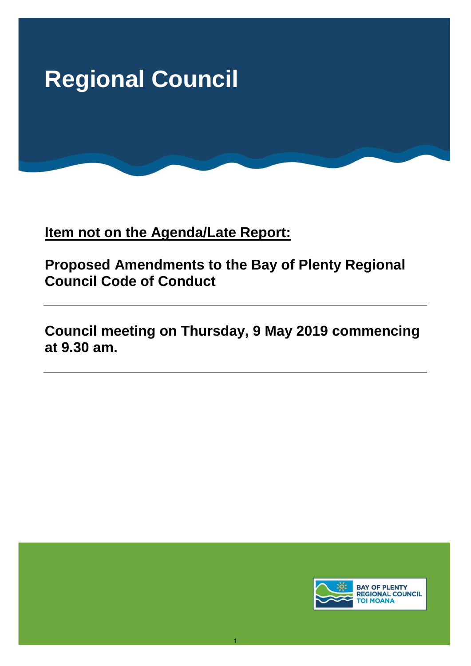

**Item not on the Agenda/Late Report:** 

**Proposed Amendments to the Bay of Plenty Regional Council Code of Conduct** 

**Council meeting on Thursday, 9 May 2019 commencing at 9.30 am.** 

1

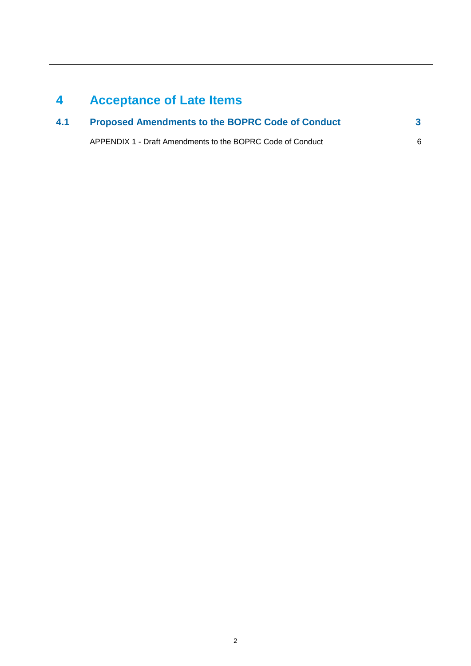# **4 Acceptance of Late Items**

| 4.1 | <b>Proposed Amendments to the BOPRC Code of Conduct</b>    |  |
|-----|------------------------------------------------------------|--|
|     | APPENDIX 1 - Draft Amendments to the BOPRC Code of Conduct |  |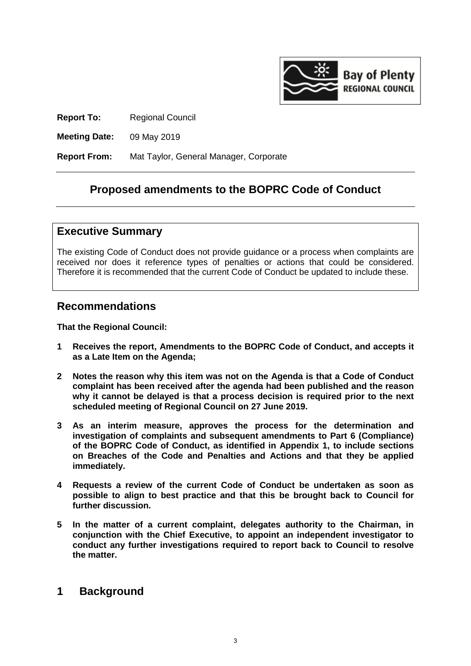

**Report To:** Regional Council

**Meeting Date:** 09 May 2019

**Report From:** Mat Taylor, General Manager, Corporate

## **Proposed amendments to the BOPRC Code of Conduct**

## **Executive Summary**

The existing Code of Conduct does not provide guidance or a process when complaints are received nor does it reference types of penalties or actions that could be considered. Therefore it is recommended that the current Code of Conduct be updated to include these.

## **Recommendations**

**That the Regional Council:** 

- **1 Receives the report, Amendments to the BOPRC Code of Conduct, and accepts it as a Late Item on the Agenda;**
- **2 Notes the reason why this item was not on the Agenda is that a Code of Conduct complaint has been received after the agenda had been published and the reason why it cannot be delayed is that a process decision is required prior to the next scheduled meeting of Regional Council on 27 June 2019.**
- **3 As an interim measure, approves the process for the determination and investigation of complaints and subsequent amendments to Part 6 (Compliance) of the BOPRC Code of Conduct, as identified in Appendix 1, to include sections on Breaches of the Code and Penalties and Actions and that they be applied immediately.**
- **4 Requests a review of the current Code of Conduct be undertaken as soon as possible to align to best practice and that this be brought back to Council for further discussion.**
- **5 In the matter of a current complaint, delegates authority to the Chairman, in conjunction with the Chief Executive, to appoint an independent investigator to conduct any further investigations required to report back to Council to resolve the matter.**

## **1 Background**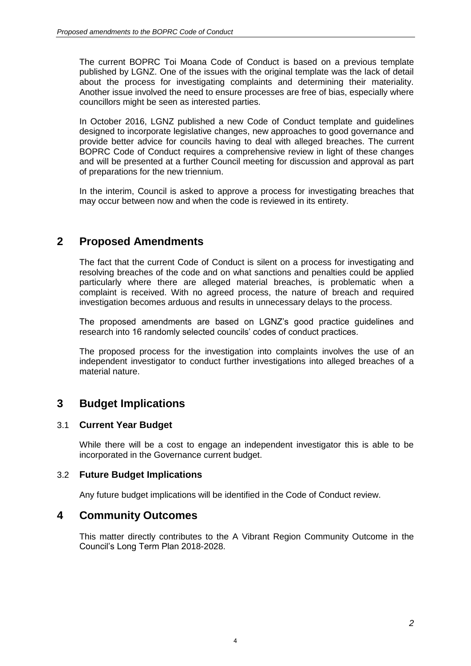The current BOPRC Toi Moana Code of Conduct is based on a previous template published by LGNZ. One of the issues with the original template was the lack of detail about the process for investigating complaints and determining their materiality. Another issue involved the need to ensure processes are free of bias, especially where councillors might be seen as interested parties.

In October 2016, LGNZ published a new Code of Conduct template and guidelines designed to incorporate legislative changes, new approaches to good governance and provide better advice for councils having to deal with alleged breaches. The current BOPRC Code of Conduct requires a comprehensive review in light of these changes and will be presented at a further Council meeting for discussion and approval as part of preparations for the new triennium.

In the interim, Council is asked to approve a process for investigating breaches that may occur between now and when the code is reviewed in its entirety.

# **2 Proposed Amendments**

The fact that the current Code of Conduct is silent on a process for investigating and resolving breaches of the code and on what sanctions and penalties could be applied particularly where there are alleged material breaches, is problematic when a complaint is received. With no agreed process, the nature of breach and required investigation becomes arduous and results in unnecessary delays to the process.

The proposed amendments are based on LGNZ's good practice guidelines and research into 16 randomly selected councils' codes of conduct practices.

The proposed process for the investigation into complaints involves the use of an independent investigator to conduct further investigations into alleged breaches of a material nature.

# **3 Budget Implications**

## 3.1 **Current Year Budget**

While there will be a cost to engage an independent investigator this is able to be incorporated in the Governance current budget.

## 3.2 **Future Budget Implications**

Any future budget implications will be identified in the Code of Conduct review.

## **4 Community Outcomes**

This matter directly contributes to the A Vibrant Region Community Outcome in the Council's Long Term Plan 2018-2028.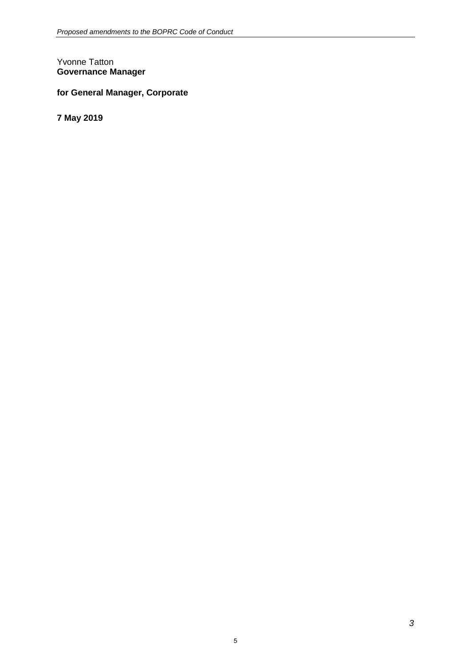#### Yvonne Tatton **Governance Manager**

## **for General Manager, Corporate**

**7 May 2019**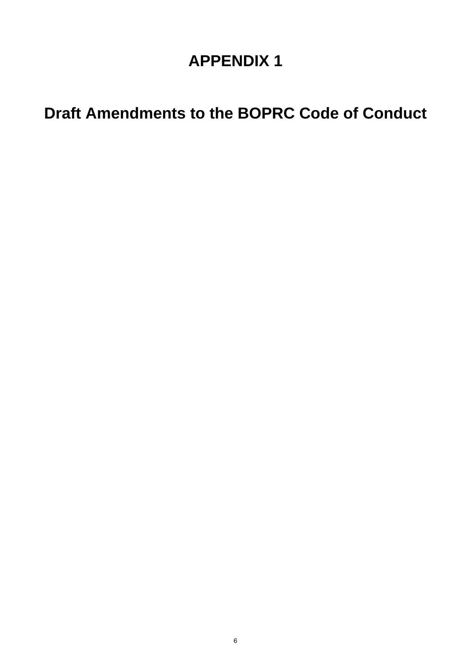# **APPENDIX 1**

# **Draft Amendments to the BOPRC Code of Conduct**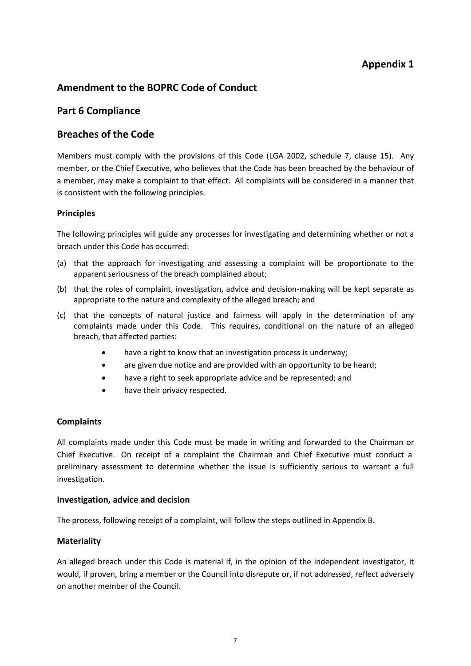## **Appendix 1**

## **Amendment to the BOPRC Code of Conduct**

## **Part 6 Compliance**

## **Breaches of the Code**

Members must comply with the provisions of this Code (LGA 2002, schedule 7, clause 15). Any member, or the Chief Executive, who believes that the Code has been breached by the behaviour of a member, may make a complaint to that effect. All complaints will be considered in a manner that is consistent with the following principles.

#### **Principles**

The following principles will guide any processes for investigating and determining whether or not a breach under this Code has occurred:

- (a) that the approach for investigating and assessing a complaint will be proportionate to the apparent seriousness of the breach complained about;
- (b) that the roles of complaint, investigation, advice and decision-making will be kept separate as appropriate to the nature and complexity of the alleged breach; and
- (c) that the concepts of natural justice and fairness will apply in the determination of any complaints made under this Code. This requires, conditional on the nature of an alleged breach, that affected parties:
	- have a right to know that an investigation process is underway;
	- are given due notice and are provided with an opportunity to be heard;
	- have a right to seek appropriate advice and be represented; and
	- have their privacy respected.

#### **Complaints**

All complaints made under this Code must be made in writing and forwarded to the Chairman or Chief Executive. On receipt of a complaint the Chairman and Chief Executive must conduct a preliminary assessment to determine whether the issue is sufficiently serious to warrant a full investigation.

#### **Investigation, advice and decision**

The process, following receipt of a complaint, will follow the steps outlined in Appendix B.

#### **Materiality**

An alleged breach under this Code is material if, in the opinion of the independent investigator, it would, if proven, bring a member or the Council into disrepute or, if not addressed, reflect adversely on another member of the Council.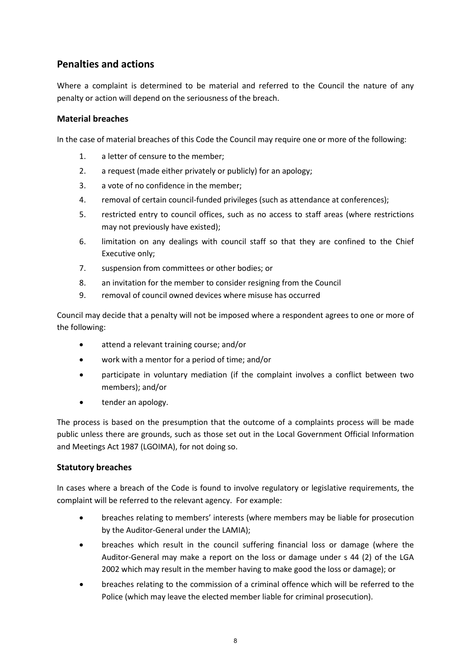## **Penalties and actions**

Where a complaint is determined to be material and referred to the Council the nature of any penalty or action will depend on the seriousness of the breach.

#### **Material breaches**

In the case of material breaches of this Code the Council may require one or more of the following:

- 1. a letter of censure to the member;
- 2. a request (made either privately or publicly) for an apology;
- 3. a vote of no confidence in the member;
- 4. removal of certain council-funded privileges (such as attendance at conferences);
- 5. restricted entry to council offices, such as no access to staff areas (where restrictions may not previously have existed);
- 6. limitation on any dealings with council staff so that they are confined to the Chief Executive only;
- 7. suspension from committees or other bodies; or
- 8. an invitation for the member to consider resigning from the Council
- 9. removal of council owned devices where misuse has occurred

Council may decide that a penalty will not be imposed where a respondent agrees to one or more of the following:

- attend a relevant training course; and/or
- work with a mentor for a period of time; and/or
- participate in voluntary mediation (if the complaint involves a conflict between two members); and/or
- tender an apology.

The process is based on the presumption that the outcome of a complaints process will be made public unless there are grounds, such as those set out in the Local Government Official Information and Meetings Act 1987 (LGOIMA), for not doing so.

#### **Statutory breaches**

In cases where a breach of the Code is found to involve regulatory or legislative requirements, the complaint will be referred to the relevant agency. For example:

- breaches relating to members' interests (where members may be liable for prosecution by the Auditor-General under the LAMIA);
- breaches which result in the council suffering financial loss or damage (where the Auditor-General may make a report on the loss or damage under s 44 (2) of the LGA 2002 which may result in the member having to make good the loss or damage); or
- breaches relating to the commission of a criminal offence which will be referred to the Police (which may leave the elected member liable for criminal prosecution).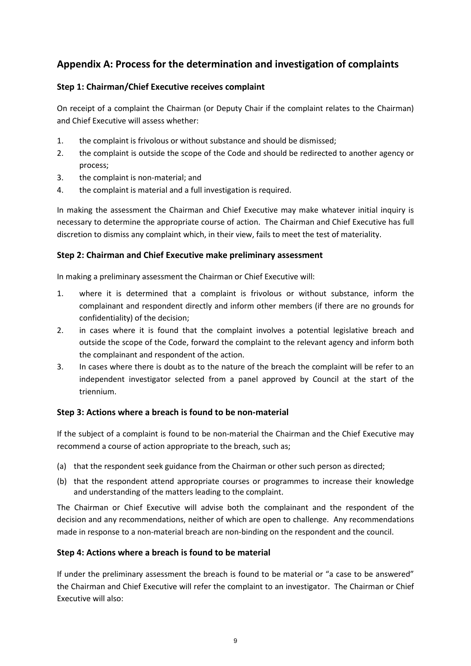## **Appendix A: Process for the determination and investigation of complaints**

### **Step 1: Chairman/Chief Executive receives complaint**

On receipt of a complaint the Chairman (or Deputy Chair if the complaint relates to the Chairman) and Chief Executive will assess whether:

- 1. the complaint is frivolous or without substance and should be dismissed;
- 2. the complaint is outside the scope of the Code and should be redirected to another agency or process;
- 3. the complaint is non-material; and
- 4. the complaint is material and a full investigation is required.

In making the assessment the Chairman and Chief Executive may make whatever initial inquiry is necessary to determine the appropriate course of action. The Chairman and Chief Executive has full discretion to dismiss any complaint which, in their view, fails to meet the test of materiality.

#### **Step 2: Chairman and Chief Executive make preliminary assessment**

In making a preliminary assessment the Chairman or Chief Executive will:

- 1. where it is determined that a complaint is frivolous or without substance, inform the complainant and respondent directly and inform other members (if there are no grounds for confidentiality) of the decision;
- 2. in cases where it is found that the complaint involves a potential legislative breach and outside the scope of the Code, forward the complaint to the relevant agency and inform both the complainant and respondent of the action.
- 3. In cases where there is doubt as to the nature of the breach the complaint will be refer to an independent investigator selected from a panel approved by Council at the start of the triennium.

#### **Step 3: Actions where a breach is found to be non-material**

If the subject of a complaint is found to be non-material the Chairman and the Chief Executive may recommend a course of action appropriate to the breach, such as;

- (a) that the respondent seek guidance from the Chairman or other such person as directed;
- (b) that the respondent attend appropriate courses or programmes to increase their knowledge and understanding of the matters leading to the complaint.

The Chairman or Chief Executive will advise both the complainant and the respondent of the decision and any recommendations, neither of which are open to challenge. Any recommendations made in response to a non-material breach are non-binding on the respondent and the council.

#### **Step 4: Actions where a breach is found to be material**

If under the preliminary assessment the breach is found to be material or "a case to be answered" the Chairman and Chief Executive will refer the complaint to an investigator. The Chairman or Chief Executive will also: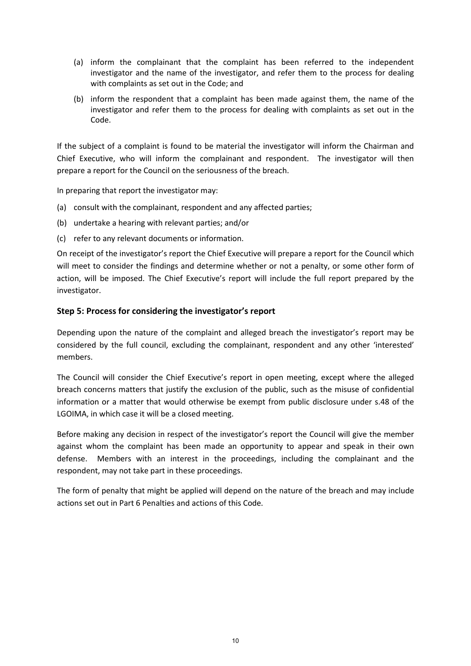- (a) inform the complainant that the complaint has been referred to the independent investigator and the name of the investigator, and refer them to the process for dealing with complaints as set out in the Code; and
- (b) inform the respondent that a complaint has been made against them, the name of the investigator and refer them to the process for dealing with complaints as set out in the Code.

If the subject of a complaint is found to be material the investigator will inform the Chairman and Chief Executive, who will inform the complainant and respondent. The investigator will then prepare a report for the Council on the seriousness of the breach.

In preparing that report the investigator may:

- (a) consult with the complainant, respondent and any affected parties;
- (b) undertake a hearing with relevant parties; and/or
- (c) refer to any relevant documents or information.

On receipt of the investigator's report the Chief Executive will prepare a report for the Council which will meet to consider the findings and determine whether or not a penalty, or some other form of action, will be imposed. The Chief Executive's report will include the full report prepared by the investigator.

#### **Step 5: Process for considering the investigator's report**

Depending upon the nature of the complaint and alleged breach the investigator's report may be considered by the full council, excluding the complainant, respondent and any other 'interested' members.

The Council will consider the Chief Executive's report in open meeting, except where the alleged breach concerns matters that justify the exclusion of the public, such as the misuse of confidential information or a matter that would otherwise be exempt from public disclosure under s.48 of the LGOIMA, in which case it will be a closed meeting.

Before making any decision in respect of the investigator's report the Council will give the member against whom the complaint has been made an opportunity to appear and speak in their own defense. Members with an interest in the proceedings, including the complainant and the respondent, may not take part in these proceedings.

The form of penalty that might be applied will depend on the nature of the breach and may include actions set out in Part 6 Penalties and actions of this Code.